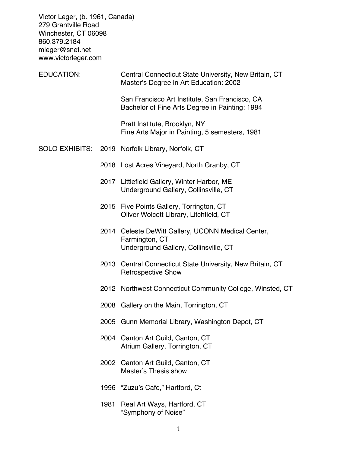Victor Leger, (b. 1961, Canada) 279 Grantville Road Winchester, CT 06098 860.379.2184 mleger@snet.net www.victorleger.com

| EDUCATION: |      | Central Connecticut State University, New Britain, CT<br>Master's Degree in Art Education: 2002               |  |
|------------|------|---------------------------------------------------------------------------------------------------------------|--|
|            |      | San Francisco Art Institute, San Francisco, CA<br>Bachelor of Fine Arts Degree in Painting: 1984              |  |
|            |      | Pratt Institute, Brooklyn, NY<br>Fine Arts Major in Painting, 5 semesters, 1981                               |  |
|            |      | SOLO EXHIBITS: 2019 Norfolk Library, Norfolk, CT                                                              |  |
|            |      | 2018 Lost Acres Vineyard, North Granby, CT                                                                    |  |
|            |      | 2017 Littlefield Gallery, Winter Harbor, ME<br>Underground Gallery, Collinsville, CT                          |  |
|            |      | 2015 Five Points Gallery, Torrington, CT<br>Oliver Wolcott Library, Litchfield, CT                            |  |
|            |      | 2014 Celeste DeWitt Gallery, UCONN Medical Center,<br>Farmington, CT<br>Underground Gallery, Collinsville, CT |  |
|            |      | 2013 Central Connecticut State University, New Britain, CT<br><b>Retrospective Show</b>                       |  |
|            |      | 2012 Northwest Connecticut Community College, Winsted, CT                                                     |  |
|            |      | 2008 Gallery on the Main, Torrington, CT                                                                      |  |
|            |      | 2005 Gunn Memorial Library, Washington Depot, CT                                                              |  |
|            |      | 2004 Canton Art Guild, Canton, CT<br>Atrium Gallery, Torrington, CT                                           |  |
|            |      | 2002 Canton Art Guild, Canton, CT<br><b>Master's Thesis show</b>                                              |  |
|            |      | 1996 "Zuzu's Cafe," Hartford, Ct                                                                              |  |
|            | 1981 | Real Art Ways, Hartford, CT<br>"Symphony of Noise"                                                            |  |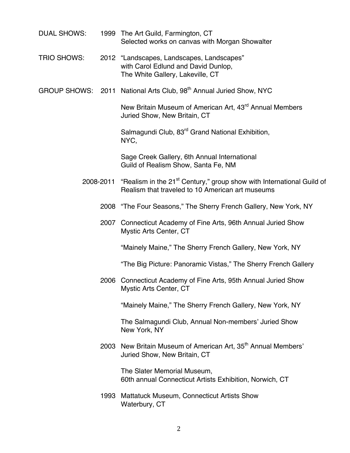- DUAL SHOWS: 1999 The Art Guild, Farmington, CT Selected works on canvas with Morgan Showalter
- TRIO SHOWS: 2012 "Landscapes, Landscapes, Landscapes" with Carol Edlund and David Dunlop, The White Gallery, Lakeville, CT
- GROUP SHOWS: 2011 National Arts Club, 98<sup>th</sup> Annual Juried Show, NYC

New Britain Museum of American Art, 43<sup>rd</sup> Annual Members Juried Show, New Britain, CT

Salmagundi Club, 83<sup>rd</sup> Grand National Exhibition, NYC,

Sage Creek Gallery, 6th Annual International Guild of Realism Show, Santa Fe, NM

- 2008-2011 "Realism in the 21 $^{\text{st}}$  Century," group show with International Guild of Realism that traveled to 10 American art museums
	- 2008 "The Four Seasons," The Sherry French Gallery, New York, NY
	- 2007 Connecticut Academy of Fine Arts, 96th Annual Juried Show Mystic Arts Center, CT

"Mainely Maine," The Sherry French Gallery, New York, NY

"The Big Picture: Panoramic Vistas," The Sherry French Gallery

2006 Connecticut Academy of Fine Arts, 95th Annual Juried Show Mystic Arts Center, CT

"Mainely Maine," The Sherry French Gallery, New York, NY

The Salmagundi Club, Annual Non-members' Juried Show New York, NY

2003 New Britain Museum of American Art, 35<sup>th</sup> Annual Members' Juried Show, New Britain, CT

> The Slater Memorial Museum, 60th annual Connecticut Artists Exhibition, Norwich, CT

1993 Mattatuck Museum, Connecticut Artists Show Waterbury, CT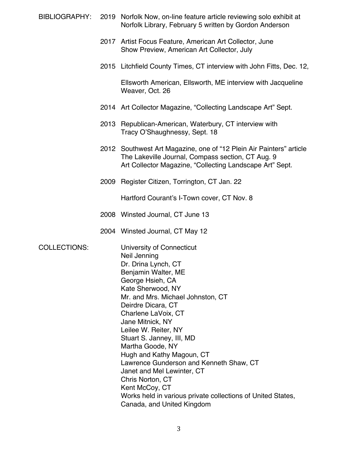- BIBLIOGRAPHY: 2019 Norfolk Now, on-line feature article reviewing solo exhibit at Norfolk Library, February 5 written by Gordon Anderson
	- 2017 Artist Focus Feature, American Art Collector, June Show Preview, American Art Collector, July
	- 2015 Litchfield County Times, CT interview with John Fitts, Dec. 12,

Ellsworth American, Ellsworth, ME interview with Jacqueline Weaver, Oct. 26

- 2014 Art Collector Magazine, "Collecting Landscape Art" Sept.
- 2013 Republican-American, Waterbury, CT interview with Tracy O'Shaughnessy, Sept. 18
- 2012 Southwest Art Magazine, one of "12 Plein Air Painters" article The Lakeville Journal, Compass section, CT Aug. 9 Art Collector Magazine, "Collecting Landscape Art" Sept.
- 2009 Register Citizen, Torrington, CT Jan. 22

Hartford Courant's I-Town cover, CT Nov. 8

- 2008 Winsted Journal, CT June 13
- 2004 Winsted Journal, CT May 12

COLLECTIONS: University of Connecticut Neil Jenning Dr. Drina Lynch, CT Benjamin Walter, ME George Hsieh, CA Kate Sherwood, NY Mr. and Mrs. Michael Johnston, CT Deirdre Dicara, CT Charlene LaVoix, CT Jane Mitnick, NY Leilee W. Reiter, NY Stuart S. Janney, III, MD Martha Goode, NY Hugh and Kathy Magoun, CT Lawrence Gunderson and Kenneth Shaw, CT Janet and Mel Lewinter, CT Chris Norton, CT Kent McCoy, CT Works held in various private collections of United States, Canada, and United Kingdom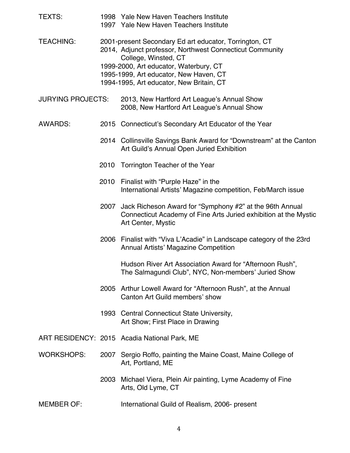| <b>TEXTS:</b>            |      | 1998 Yale New Haven Teachers Institute<br>1997 Yale New Haven Teachers Institute                                                                                                                                                                                           |  |  |
|--------------------------|------|----------------------------------------------------------------------------------------------------------------------------------------------------------------------------------------------------------------------------------------------------------------------------|--|--|
| <b>TEACHING:</b>         |      | 2001-present Secondary Ed art educator, Torrington, CT<br>2014, Adjunct professor, Northwest Connecticut Community<br>College, Winsted, CT<br>1999-2000, Art educator, Waterbury, CT<br>1995-1999, Art educator, New Haven, CT<br>1994-1995, Art educator, New Britain, CT |  |  |
| <b>JURYING PROJECTS:</b> |      | 2013, New Hartford Art League's Annual Show<br>2008, New Hartford Art League's Annual Show                                                                                                                                                                                 |  |  |
| <b>AWARDS:</b>           |      | 2015 Connecticut's Secondary Art Educator of the Year                                                                                                                                                                                                                      |  |  |
|                          |      | 2014 Collinsville Savings Bank Award for "Downstream" at the Canton<br>Art Guild's Annual Open Juried Exhibition                                                                                                                                                           |  |  |
|                          |      | 2010 Torrington Teacher of the Year                                                                                                                                                                                                                                        |  |  |
|                          | 2010 | Finalist with "Purple Haze" in the<br>International Artists' Magazine competition, Feb/March issue                                                                                                                                                                         |  |  |
|                          | 2007 | Jack Richeson Award for "Symphony #2" at the 96th Annual<br>Connecticut Academy of Fine Arts Juried exhibition at the Mystic<br>Art Center, Mystic                                                                                                                         |  |  |
|                          |      | 2006 Finalist with "Viva L'Acadie" in Landscape category of the 23rd<br><b>Annual Artists' Magazine Competition</b>                                                                                                                                                        |  |  |
|                          |      | Hudson River Art Association Award for "Afternoon Rush",<br>The Salmagundi Club", NYC, Non-members' Juried Show                                                                                                                                                            |  |  |
|                          |      | 2005 Arthur Lowell Award for "Afternoon Rush", at the Annual<br>Canton Art Guild members' show                                                                                                                                                                             |  |  |
|                          |      | 1993 Central Connecticut State University,<br>Art Show; First Place in Drawing                                                                                                                                                                                             |  |  |
|                          |      | ART RESIDENCY: 2015 Acadia National Park, ME                                                                                                                                                                                                                               |  |  |
| <b>WORKSHOPS:</b>        |      | 2007 Sergio Roffo, painting the Maine Coast, Maine College of<br>Art, Portland, ME                                                                                                                                                                                         |  |  |
|                          | 2003 | Michael Viera, Plein Air painting, Lyme Academy of Fine<br>Arts, Old Lyme, CT                                                                                                                                                                                              |  |  |
| <b>MEMBER OF:</b>        |      | International Guild of Realism, 2006- present                                                                                                                                                                                                                              |  |  |

4